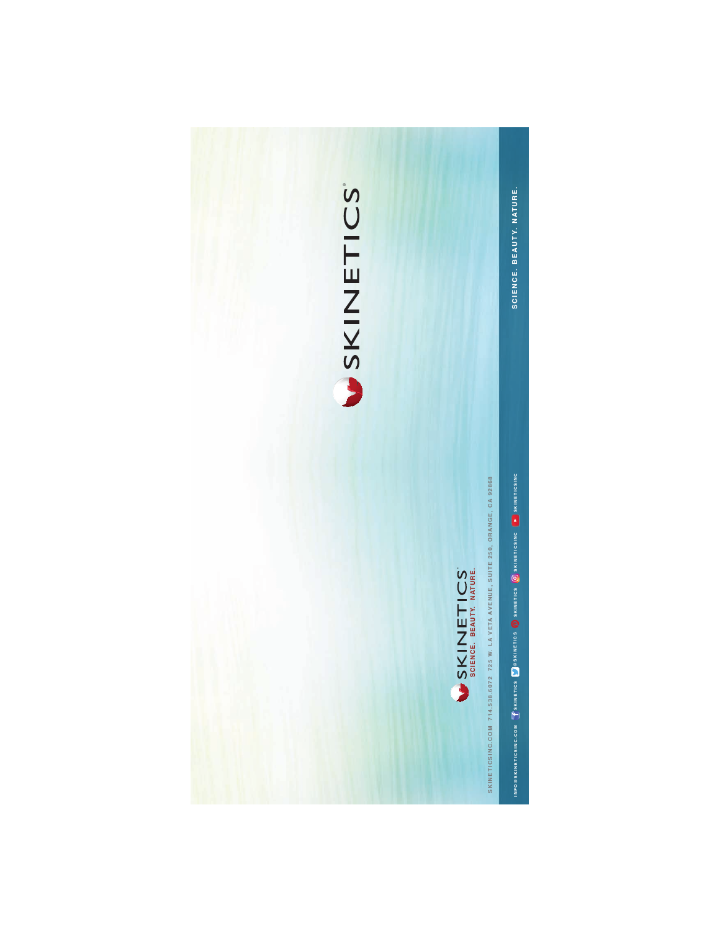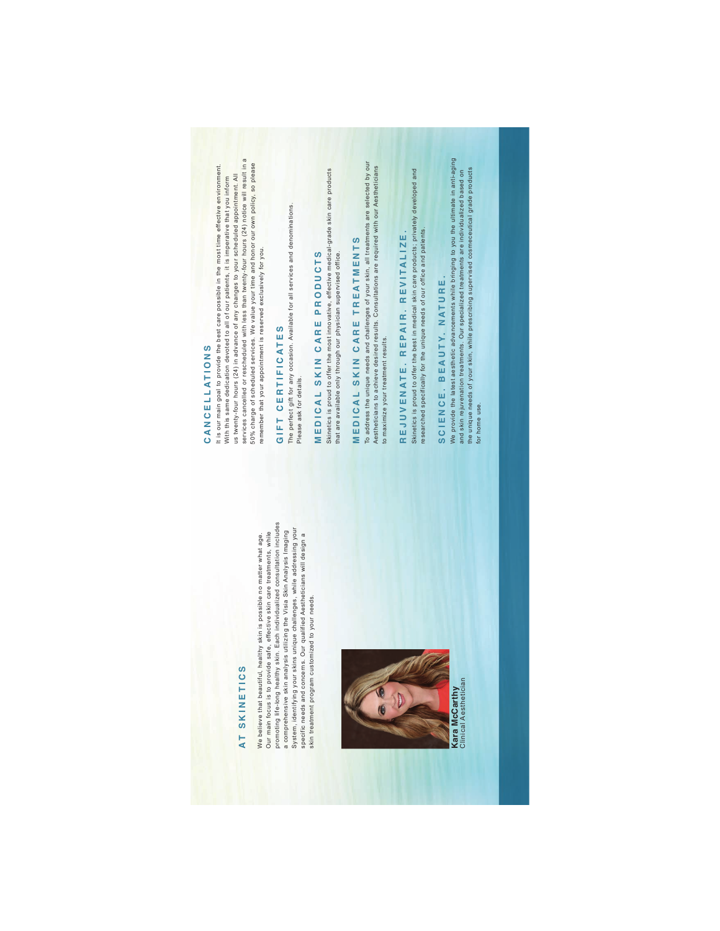### **AT SKINETICS T S KIN ETI C S**

Our main focus is to provide safe, effective skin care treatments, while<br>promoting life-long healthy skin. Each individualized consultation includes promoting life-long healthy skin. Each individualized consultation includes System, identifying your skins unique challenges, while addressing your System, identifying your skins unique challenges, while addressing your a comprehensive skin analysis utilizing the Visia Skin Analysis Imaging a comprehensive skin analysis utilizing the Visia Skin Analysis Imaging Our main focus is to provide safe, effective skin care treatments, while We believe that beautiful, healthy skin is possible no matter what age. We believe that beautiful, healthy skin is possible no matter what age. specific needs and concerns. Our qualified Aestheticians will design a specific needs and concerns. Our qualified Aestheticians will design a skin treatment program customized to your needs. skin treatment program customized to your needs.



Clinical Aesthetician Clinical Aesthetician

## CANCELLATIONS **CANC ELL A TIO N S**

us twenty-four hours (24) in advance of any changes to your scheduled appointment. All<br>services cancelled or rescheduled with less than twenty-four hours (24) notice will result in a services cancelled or rescheduled with less than twenty-four hours (24) notice will result in a 50% charge of scheduled services. We value your time and honor our own policy, so please 50% charge of scheduled services. We value your time and honor our own policy, so please It is our main goal to provide the best care possible in the most time effective environment. It is our main goal to provide the best care possible in the most time effective environment. us twenty-four hours (24) in advance of any changes to your scheduled appointment. All With this same dedication devoted to all of our patients, it is imperative that you inform With this same dedication devoted to all of our patients, it is imperative that you inform remember that your appointment is reserved exclusively for you. remember that your appointment is reserved exclusively for you.

## GIFT CERTIFICATES **GIFT CER TIFI C A T E S**

The perfect gift for any occasion. Available for all services and denominations. The perfect gift for any occasion. Available for all services and denominations. Please ask for details. Please ask for details.

## MEDICAL SKIN CARE PRODUCTS **MEDICA L S KIN CAR E PRO DUC T S**

Skinetics is proud to offer the most innovative, effective medical-grade skin care products<br>that are available only through our physician supervised office. Skinetics is proud to offer the most innovative, effective medical-grade skin care products that are available only through our physician supervised office.

## MEDICAL SKIN CARE TREATMENTS **MEDICA L S KIN CAR E T REATMENTS**

To address the unique needs and challenges of your skin, all treatments are selected by our<br>Aestheticians to achieve desired results. Consultations are required with our Aestheticians To address the unique needs and challenges of your skin, all treatments are selected by our Aestheticians to achieve desired results. Consultations are required with our Aestheticians to maximize your treatment results. to maximize your treatment results.

# REJUVENATE. REPAIR. REVITALIZE. **REJU V E N A TE. REPAIR . R EVI T A LIZE .**

Skinetics is proud to offer the best in medical skin care products; privately developed and Skinetics is proud to offer the best in medical skin care products; privately developed and researched specifically for the unique needs of our office and patients. researched specifically for the unique needs of our office and patients.

## SCIENCE. BEAUTY. NATURE. **SCIE N C E. BEAU TY. NATUR E .**

We provide the latest aesthetic advancements while bringing to you the ultimate in anti-aging<br>and skin rejuvenation treatments. Our specialized treatments are individualized based on<br>the unique needs of your skin, while pr We provide the latest aesthetic advancements while bringing to you the ultimate in anti-aging the unique needs of your skin, while prescribing supervised cosmeceutical grade products and skin rejuvenation treatments. Our specialized treatments are individualized based on for home use. for home use.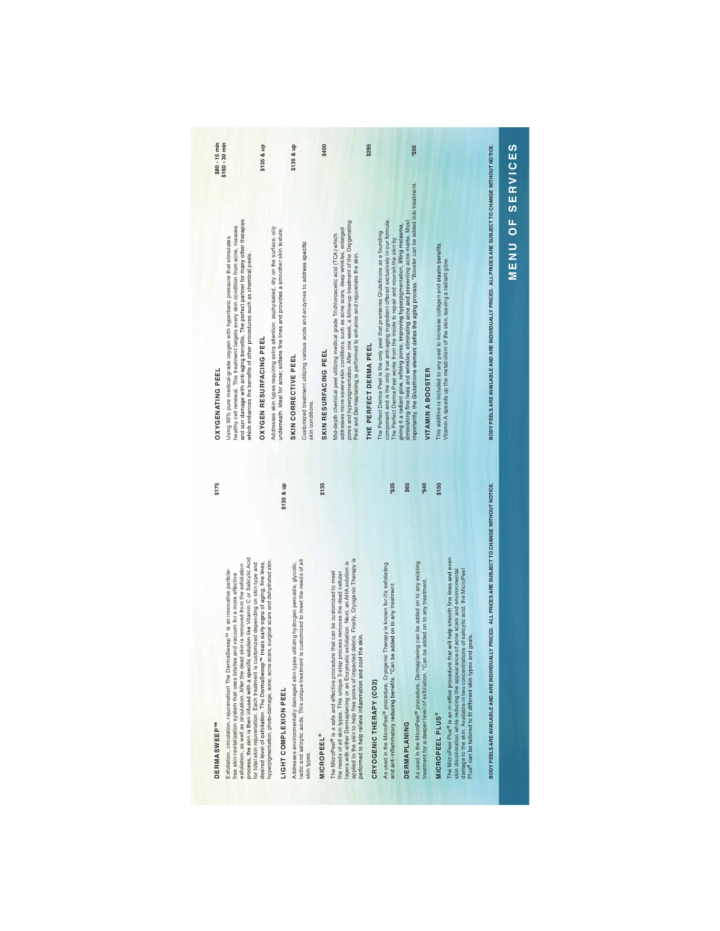| process, the skin is then infused with a specific solution like Vitamin C or Salicylic Acid<br>lesired level of extoliation. The DermaSweep <sup>rM</sup> treats early signs of aging, fine lines,<br>or total skin rejuvenation. Each treatment is customized depending on skin type and<br>exfoliation, as well as circulation. After the dead skin is removed from the exfoliation<br>aSweep <sup>TM</sup> is an innovative particle-<br>ree skin revitalization system that uses bristles and vacuum for a more effective<br>Exfoliation, circulation, rejuvenation! The Derm | OXYGENATING PEEL                                                                                                                                                                                                                                                                                                                          | $$80 - 15$ min  |
|-----------------------------------------------------------------------------------------------------------------------------------------------------------------------------------------------------------------------------------------------------------------------------------------------------------------------------------------------------------------------------------------------------------------------------------------------------------------------------------------------------------------------------------------------------------------------------------|-------------------------------------------------------------------------------------------------------------------------------------------------------------------------------------------------------------------------------------------------------------------------------------------------------------------------------------------|-----------------|
|                                                                                                                                                                                                                                                                                                                                                                                                                                                                                                                                                                                   | and sun damage with anti-aging benefits. The perfect partner for many other therapies<br>healthy cell renewal. This treatment targets every skin condition from acne, rosacea<br>Using 95% pure medical-grade oxygen with hyperbaric pressure that stimulates<br>which enhances the benefits of other procedures such as chemical peels.  | $$160 - 30$ min |
|                                                                                                                                                                                                                                                                                                                                                                                                                                                                                                                                                                                   | OXYGEN RESURFACING PEEL                                                                                                                                                                                                                                                                                                                   | \$135 & up      |
| \$135 & up<br>yperpigmentation, photo-damage, acne, acne scars, surgical scars and dehydrated skin.<br>IGHT COMPLEXION PEEL                                                                                                                                                                                                                                                                                                                                                                                                                                                       | Addresses skin types requiring extra attention: asphyxiated, dry on the surface, oily<br>underneath. Ideal for acne; softens fine lines and provides a smoother skin texture.                                                                                                                                                             |                 |
| Addresses environmentally damaged skin types utilizing hydrogen peroxide, glycolic,                                                                                                                                                                                                                                                                                                                                                                                                                                                                                               | SKIN CORRECTIVE PEEL                                                                                                                                                                                                                                                                                                                      | \$135 & up      |
| is customized to meet the needs of all<br>actic and salicylic acids. This unique treatment<br>skin types.                                                                                                                                                                                                                                                                                                                                                                                                                                                                         | Customized treatment utilizing various acids and enzymes to address specific<br>skin conditions.                                                                                                                                                                                                                                          |                 |
| \$135<br><b>MICROPEEL®</b>                                                                                                                                                                                                                                                                                                                                                                                                                                                                                                                                                        | SKIN RESURFACING PEEL                                                                                                                                                                                                                                                                                                                     | \$450           |
| applied to the skin to help free pores of impacted debris. Finally, Cryogenic Therapy is<br>ayers with either Dermaplaning or an Enzymatic exfoliation. Next, an AHA solution is<br>The MicroPeel® is a safe and effective procedure that can be customized to meet<br>process removes the dead cellular<br>berformed to help relieve inflammation and cool the skin.<br>he needs of all skin types. This unique 3-step                                                                                                                                                           | pores and hyperpigmentation. After one week, a follow-up treatment of the Oxygenating<br>addresses more severe skin conditions, such as acne scars, deep wrinkles, enlarged<br>Mid-depth chemical peel utilizing medical grade Trichloroacetic acid (TCA) which<br>Peel and Dermaplaning is performed to enhance and rejuvenate the skin. |                 |
| CRYOGENIC THERAPY (CO2)                                                                                                                                                                                                                                                                                                                                                                                                                                                                                                                                                           | THE PERFECT DERMA PEEL                                                                                                                                                                                                                                                                                                                    | \$295           |
| *\$35<br>As used in the MicroPeel® procedure, Cryogenic Therapy is known for it's exfoliating<br>be added on to any treatment<br>and anti-inflammatory reducing benefits. *Can I                                                                                                                                                                                                                                                                                                                                                                                                  | component and is the only true anti-aging ingredient offered exclusively in our formula.<br>The Perfect Derma Peel is the only peel that premieres Glutathione as a founding<br>The Perfect Derma Peel works from the inside to repair and nourish the skin by                                                                            |                 |
| \$65<br><b>DERMAPLANING</b>                                                                                                                                                                                                                                                                                                                                                                                                                                                                                                                                                       | diminishing fine lines and wrinkles, eliminating acne and preventing acne marks. Most<br>giving it a radiant glow, refining pores, improving hyperpigmentation, lifting melasma,                                                                                                                                                          |                 |
| *\$40<br>As used in the MicroPeel® procedure, Dermaplaning can be added on to any existing<br>be added on to any treatment.<br>reatment for a deeper level of exfoliation. *Can                                                                                                                                                                                                                                                                                                                                                                                                   | mportantly, the Glutathione element defies the aging process. *Booster can be added into treatment.<br><b>VITAMIN A BOOSTER</b>                                                                                                                                                                                                           | \$50            |
| \$150<br>The MicroPeel Plus® is an in-office procedure that will help smooth fine lines and even<br>skin discoloration while reducing the appearance of acne scars and environmental<br>damage to the skin. Available in two concentrations of salicylic acid, the MicroPeel<br>Plus® can be tailored to fit different skin types and goals.<br><b>MICROPEEL PLUS</b>                                                                                                                                                                                                             | This additive is included to any peel to increase collagen and elastin benefits.<br>Vitamin A speeds up the metabolism of the skin, leaving a radiant glow.                                                                                                                                                                               |                 |
| BODY PEELS ARE AVAILABLE AND ARE INDIVIDUALLY PRICED. ALL PRICES ARE SUBJECT TO CHANGE WITHOUT NOTICE.                                                                                                                                                                                                                                                                                                                                                                                                                                                                            | BODY PEELS ARE AVAILABLE AND ARE INDIVIDUALLY PRICED. ALL PRICES ARE SUBJECT TO CHANGE WITHOUT NOTICE.                                                                                                                                                                                                                                    |                 |

#### **DERMASWEEP**<sup>w</sup> **DERMASWEEP™**

### LIGHT COMPLEXION PEEL **LIGHT COMPLEXION PEEL**

### **MICROPEEL®**

## CRYOGENIC THERAPY (CO2) **CRYOGENIC THERAPY (CO2)**

| As used in the MicroPeel® procedure, Cryogenic Therapy is known for it's exfoliating<br>and anti-inflammatory reducing benefits. *Can be added on to any treatment |  |
|--------------------------------------------------------------------------------------------------------------------------------------------------------------------|--|

## As used in the MicroPeel® procedure, Dermaplaning can be added on to any existing As used in the MicroPeel® procedure, Dermaplaning<br>treatment for a deeper level of exfoliation. \*Can be a **DERMAPLANING DERMAPLANING**

## The MicroPeel Plus® is an in-office procedure that will help smooth fine lines and even skin discoloration while reducing the appearance of acne scars and environmental damage to the skin. Available in two concentrations of salicylic acid, the MicroPeel MICROPEEL PLUS<sup>®</sup><br>The MicroPeel Plus<sup>®</sup> is an in-office procedure that wi<br>skin discoloration while reducing the appearance of a<br>Plus<sup>®</sup> can be tailored to fit different skin types and go<br>Plus<sup>®</sup> can be tailored to fit diff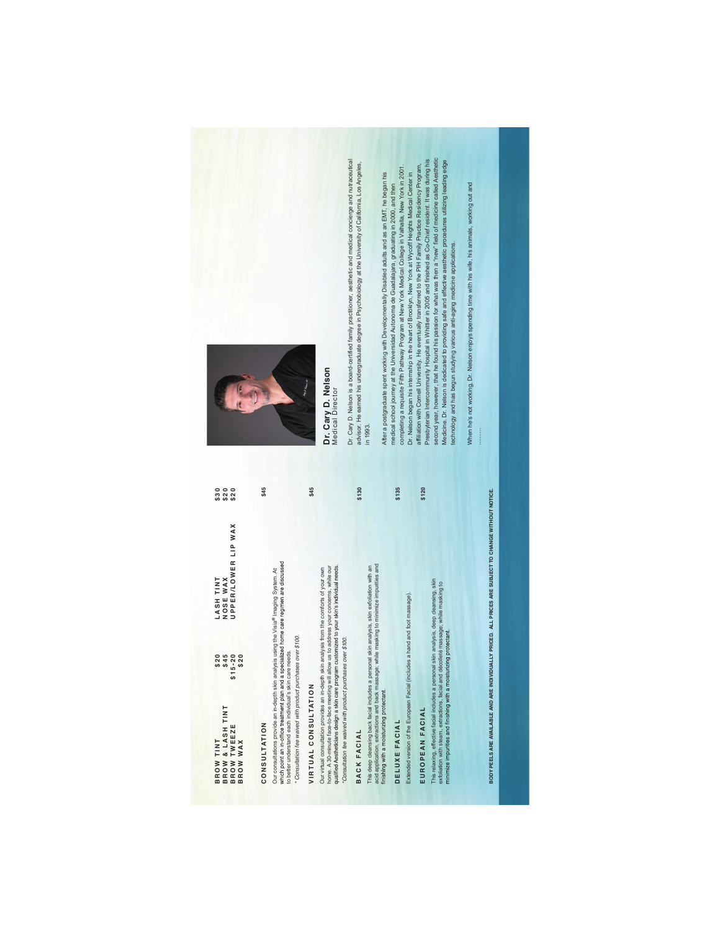| & LASH TINT<br><b>BROW TINT<br/>BROW &amp; LASH T<br/>BROW TWEEZE<br/>BROW WAX</b>                                                                                                                                                                                                                                                                    | \$20<br>\$45<br>$$15 - 20$<br>$$20$ | UPPER/LOWER LIP WAX<br>LASH TINT<br>NOSE WAX | \$30<br>$\frac{20}{20}$<br>\$20 |
|-------------------------------------------------------------------------------------------------------------------------------------------------------------------------------------------------------------------------------------------------------------------------------------------------------------------------------------------------------|-------------------------------------|----------------------------------------------|---------------------------------|
| CONSULTATION                                                                                                                                                                                                                                                                                                                                          |                                     |                                              | \$45                            |
| which point an in-office treatment plan and a specialized home care regimen are discussed<br>Our consultations provide an in-depth skin analysis using the Visia® Imaging System. At<br>* Consultation fee waived with product purchases over \$100.<br>to better understand each individual's skin care needs                                        |                                     |                                              |                                 |
| VIRTUAL CONSULTATION                                                                                                                                                                                                                                                                                                                                  |                                     |                                              | \$45                            |
| qualified Aestheticians design a skin care program customized to your skin's individual needs.<br>home. A 30-minute face-to-face meeting will allow us to address your concerns, while our<br>Our virtual consultation provides an in-depth skin analysis from the comforts of your own<br>Consultation fee waived with product purchases over \$100. |                                     |                                              |                                 |
| BACK FACIAL                                                                                                                                                                                                                                                                                                                                           |                                     |                                              | \$130                           |
| acid application, extractions and back massage; while masking to minimize impurities and<br>This deep cleansing back facial includes a personal skin analysis, skin exfoliation with an<br>finishing with a moisturizing protectant.                                                                                                                  |                                     |                                              |                                 |
| DELUXE FACIAL                                                                                                                                                                                                                                                                                                                                         |                                     |                                              | \$135                           |
| Extended version of the European Facial (includes a hand and foot massage).                                                                                                                                                                                                                                                                           |                                     |                                              |                                 |
| EUROPEAN FACIAL                                                                                                                                                                                                                                                                                                                                       |                                     |                                              | \$120                           |
| This relaxing, effective facial includes a personal skin analysis, deep cleansing, skin<br>exfoliation with steam, extractions, facial and décolleté massage; while masking to<br>minimize impurities and finishing with a moisturizing protectant.                                                                                                   |                                     |                                              |                                 |

BODY PEELS ARE AVAILABLE AND ARE INDIVIDUALLY PRICED. ALL PRICES ARE SUBJECT TO CHANGE WITHOUT NOTICE. **BODY PEELS ARE AVAILABLE AND ARE INDIVIDUALLY PRICED. ALL PRICES ARE SUBJECT TO CHANGE WITHOUT NOTICE.**



Dr. Cary D. Nelson<br>Medical Director **Dr. Cary D. Nelson** Medical Director

Dr. Cary D. Nelson is a board-certified family practitioner, aesthetic and medical concierge and nutraceutical advisor. He earned his undergraduate degree in Psychobiology at the University of California, Los Angeles, Dr. Cary D. Nelson is a board-certified family practitioner, aesthetic and medical conclerge and nutraceutical<br>advisor. He earned his undergraduate degree in Psychobiology at the University of California, Los Angeles,<br>in 1 After a postgraduate spent working with Developmentally Disabled adults and as an EMT, he began his<br>medical school journey at the Universided Autonoma de Guadalajara, graduating in 2000, and then<br>Dr. Nelsing a requisite Fi second year, however, that he found his passion for what was then a "new" field of medicine called Aesthetic Presbyterian Intercommunity Hospital in Whittier in 2005 and finished as Co-Chief resident. It was during his Medicine. Dr. Nelson is dedicated to providing safe and effective aesthetic procedures utilizing leading edge affiliation with Cornell University. He eventually transferred to the PIH Family Practice Residency Program, completing a requisite Fifth Pathway Program at New York Medical College in Valhalla, New York in 2001. After a postgraduate spent working with Developmentally Disabled adults and as an EMT, he began his Dr. Nelson began his internship in the heart of Brooklyn, New York at Wycoff Heights Medical Center in medical school journey at the Universidad Autonoma de Guadalajara, graduating in 2000, and then technology and has begun studying various anti-aging medicine applications.

When he's not working, Dr. Nelson enjoys spending time with his wife, his animals, working out and When he's not working, Dr. Nelson enjoys spending time with his wife, his animals, working out and